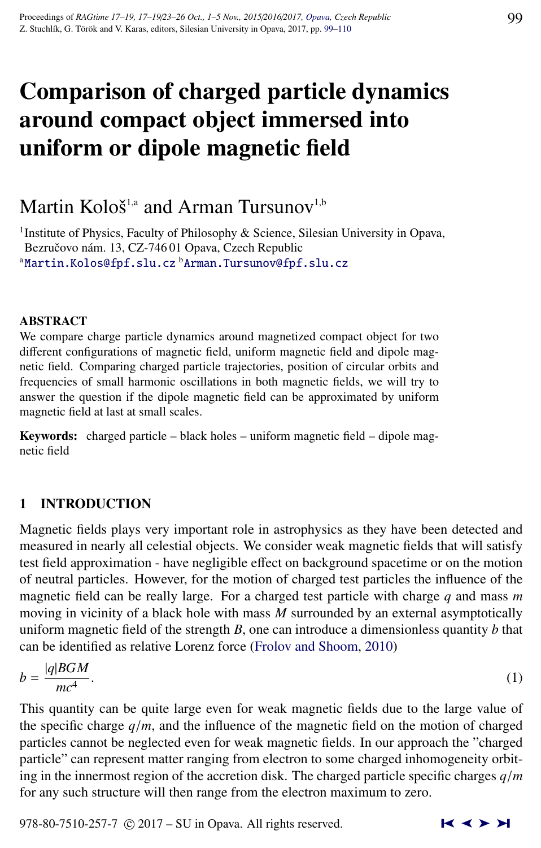# Comparison of charged particle dynamics around compact object immersed into uniform or dipole magnetic field

# Martin Kološ $^{1,a}$  and Arman Tursunov $^{1,b}$

<sup>1</sup>Institute of Physics, Faculty of Philosophy & Science, Silesian University in Opava, Bezručovo nám. 13, CZ-746 01 Opava, Czech Republic <sup>a</sup>[Martin.Kolos@fpf.slu.cz](http://www.physics.cz/ Martin.Kolos@fpf.slu.cz) <sup>b</sup>[Arman.Tursunov@fpf.slu.cz](http://www.physics.cz/ Arman.Tursunov@fpf.slu.cz)

# ABSTRACT

We compare charge particle dynamics around magnetized compact object for two different configurations of magnetic field, uniform magnetic field and dipole magnetic field. Comparing charged particle trajectories, position of circular orbits and frequencies of small harmonic oscillations in both magnetic fields, we will try to answer the question if the dipole magnetic field can be approximated by uniform magnetic field at last at small scales.

Keywords: charged particle – black holes – uniform magnetic field – dipole magnetic field

# 1 INTRODUCTION

Magnetic fields plays very important role in astrophysics as they have been detected and measured in nearly all celestial objects. We consider weak magnetic fields that will satisfy test field approximation - have negligible effect on background spacetime or on the motion of neutral particles. However, for the motion of charged test particles the influence of the magnetic field can be really large. For a charged test particle with charge *q* and mass *m* moving in vicinity of a black hole with mass *M* surrounded by an external asymptotically uniform magnetic field of the strength *B*, one can introduce a dimensionless quantity *b* that can be identified as relative Lorenz force [\(Frolov and Shoom,](#page-11-0) [2010\)](#page-11-0)

$$
b = \frac{|q|BGM}{mc^4}.\tag{1}
$$

This quantity can be quite large even for weak magnetic fields due to the large value of the specific charge  $q/m$ , and the influence of the magnetic field on the motion of charged particles cannot be neglected even for weak magnetic fields. In our approach the "charged particle" can represent matter ranging from electron to some charged inhomogeneity orbiting in the innermost region of the accretion disk. The charged particle specific charges *<sup>q</sup>*/*<sup>m</sup>* for any such structure will then range from the electron maximum to zero.

978-80-7510-257-7  $\odot$  2017 – SU in Opava. All rights reserved.  $\blacksquare \blacktriangle \blacktriangleright \blacktriangleright \blacksquare$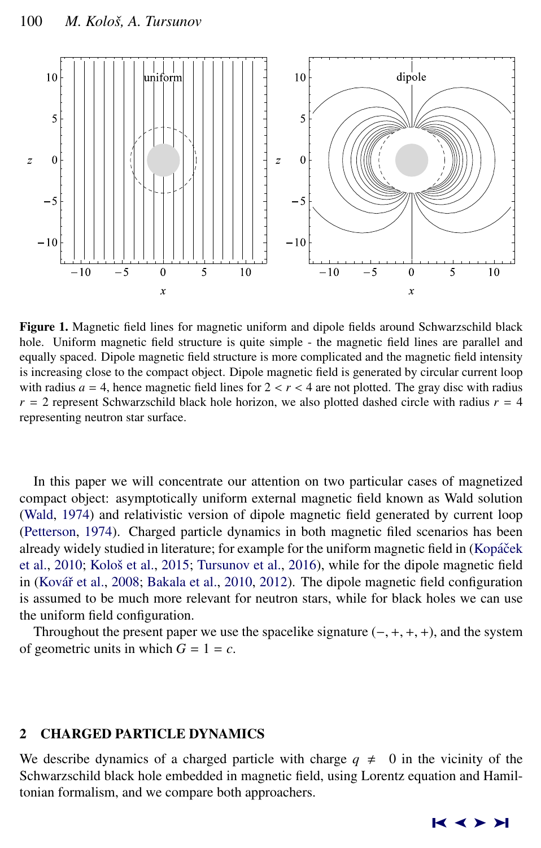

Figure 1. Magnetic field lines for magnetic uniform and dipole fields around Schwarzschild black hole. Uniform magnetic field structure is quite simple - the magnetic field lines are parallel and equally spaced. Dipole magnetic field structure is more complicated and the magnetic field intensity is increasing close to the compact object. Dipole magnetic field is generated by circular current loop with radius  $a = 4$ , hence magnetic field lines for  $2 < r < 4$  are not plotted. The gray disc with radius  $r = 2$  represent Schwarzschild black hole horizon, we also plotted dashed circle with radius  $r = 4$ representing neutron star surface.

In this paper we will concentrate our attention on two particular cases of magnetized compact object: asymptotically uniform external magnetic field known as Wald solution [\(Wald,](#page-11-0) [1974\)](#page-11-0) and relativistic version of dipole magnetic field generated by current loop [\(Petterson,](#page-11-0) [1974\)](#page-11-0). Charged particle dynamics in both magnetic filed scenarios has been already widely studied in literature; for example for the uniform magnetic field in (Kopáček [et al.,](#page-11-0) [2010;](#page-11-0) Kološ et al., [2015;](#page-11-0) [Tursunov et al.,](#page-11-0) [2016\)](#page-11-0), while for the dipole magnetic field in (Kovář et al., [2008;](#page-11-0) [Bakala et al.,](#page-11-0) [2010,](#page-11-0) [2012\)](#page-10-0). The dipole magnetic field configuration is assumed to be much more relevant for neutron stars, while for black holes we can use the uniform field configuration.

Throughout the present paper we use the spacelike signature  $(-, +, +, +)$ , and the system of geometric units in which  $G = 1 = c$ .

# 2 CHARGED PARTICLE DYNAMICS

We describe dynamics of a charged particle with charge  $q \neq 0$  in the vicinity of the Schwarzschild black hole embedded in magnetic field, using Lorentz equation and Hamiltonian formalism, and we compare both approachers.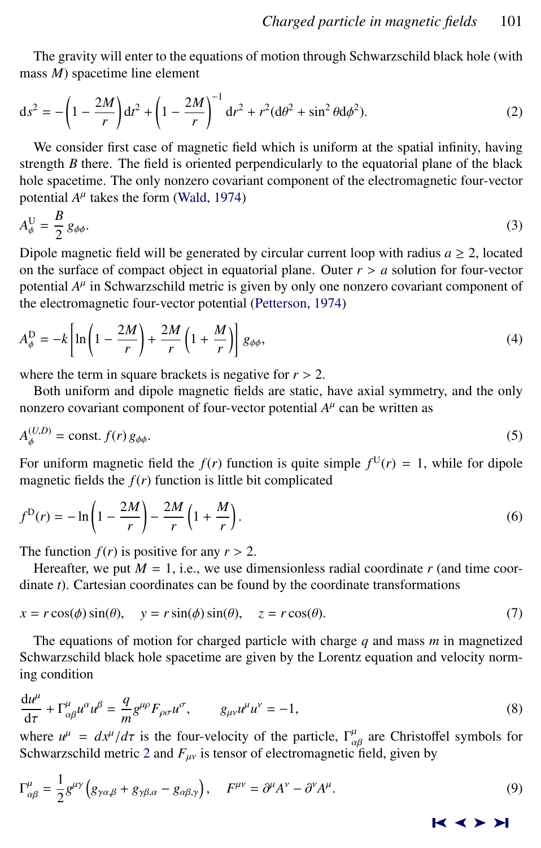<span id="page-2-0"></span>The gravity will enter to the equations of motion through Schwarzschild black hole (with mass *M*) spacetime line element

$$
ds^{2} = -\left(1 - \frac{2M}{r}\right)dt^{2} + \left(1 - \frac{2M}{r}\right)^{-1}dr^{2} + r^{2}(d\theta^{2} + \sin^{2}\theta d\phi^{2}).
$$
 (2)

We consider first case of magnetic field which is uniform at the spatial infinity, having strength *B* there. The field is oriented perpendicularly to the equatorial plane of the black hole spacetime. The only nonzero covariant component of the electromagnetic four-vector potential  $A^{\mu}$  takes the form [\(Wald,](#page-11-0) [1974\)](#page-11-0)

$$
A_{\phi}^{\mathrm{U}} = \frac{B}{2} g_{\phi\phi}.
$$

Dipole magnetic field will be generated by circular current loop with radius  $a \geq 2$ , located on the surface of compact object in equatorial plane. Outer  $r > a$  solution for four-vector potential  $A^{\mu}$  in Schwarzschild metric is given by only one nonzero covariant component of the electromagnetic four-vector potential [\(Petterson,](#page-11-0) [1974\)](#page-11-0)

$$
A_{\phi}^{\mathcal{D}} = -k \left[ \ln \left( 1 - \frac{2M}{r} \right) + \frac{2M}{r} \left( 1 + \frac{M}{r} \right) \right] g_{\phi\phi}, \tag{4}
$$

where the term in square brackets is negative for  $r > 2$ .

Both uniform and dipole magnetic fields are static, have axial symmetry, and the only nonzero covariant component of four-vector potential  $A^{\mu}$  can be written as

$$
A_{\phi}^{(U,D)} = \text{const.} \, f(r) \, g_{\phi\phi}.\tag{5}
$$

For uniform magnetic field the  $f(r)$  function is quite simple  $f^{\text{U}}(r) = 1$ , while for dipole magnetic fields the  $f(r)$  function is little bit complicated

$$
f^{D}(r) = -\ln\left(1 - \frac{2M}{r}\right) - \frac{2M}{r}\left(1 + \frac{M}{r}\right). \tag{6}
$$

The function  $f(r)$  is positive for any  $r > 2$ .

Hereafter, we put  $M = 1$ , i.e., we use dimensionless radial coordinate  $r$  (and time coordinate *t*). Cartesian coordinates can be found by the coordinate transformations

$$
x = r\cos(\phi)\sin(\theta), \quad y = r\sin(\phi)\sin(\theta), \quad z = r\cos(\theta). \tag{7}
$$

The equations of motion for charged particle with charge *q* and mass *m* in magnetized Schwarzschild black hole spacetime are given by the Lorentz equation and velocity norming condition

$$
\frac{du^{\mu}}{d\tau} + \Gamma^{\mu}_{\alpha\beta}u^{\alpha}u^{\beta} = \frac{q}{m}g^{\mu\rho}F_{\rho\sigma}u^{\sigma}, \qquad g_{\mu\nu}u^{\mu}u^{\nu} = -1,
$$
\n(8)

d $\tau$   $m^3$   $\mu$ ,  $m^4$   $m^5$   $m$ ,  $m^2$   $m$ ,  $m^4$ ,  $m^4$ ,  $m^4$ ,  $m^4$ ,  $m^4$ ,  $m^2$ ,  $m^2$ ,  $m^2$ ,  $m^2$ ,  $m^2$ ,  $m^2$ ,  $m^2$ ,  $m^2$ ,  $m^2$ ,  $m^2$ ,  $m^2$ ,  $m^2$ ,  $m^2$ ,  $m^2$ ,  $m^2$ ,  $m^2$ ,  $m^2$ ,  $m^2$ ,  $m^2$ ,  $m^2$ , Schwarzschild metric 2 and  $F_{\mu\nu}$  is tensor of electromagnetic field, given by

$$
\Gamma^{\mu}_{\alpha\beta} = \frac{1}{2} g^{\mu\nu} \left( g_{\gamma\alpha,\beta} + g_{\gamma\beta,\alpha} - g_{\alpha\beta,\gamma} \right), \quad F^{\mu\nu} = \partial^{\mu} A^{\nu} - \partial^{\nu} A^{\mu}.
$$
 (9)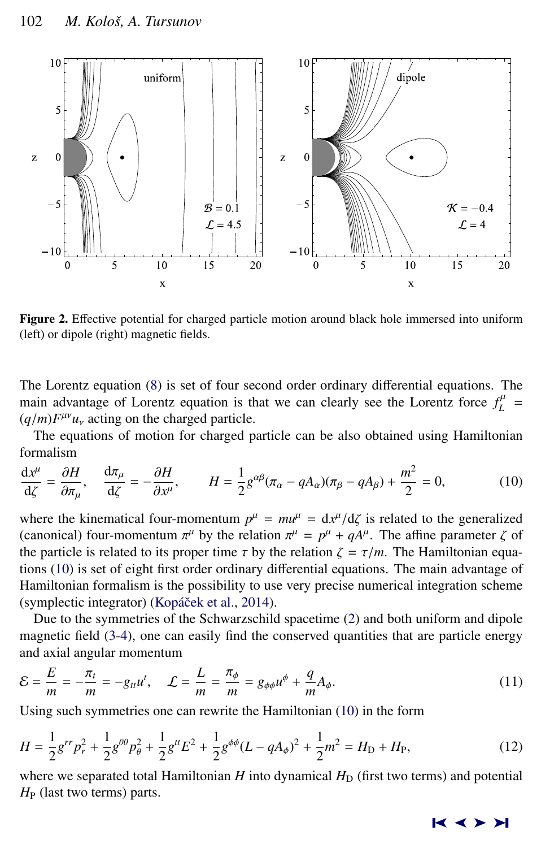<span id="page-3-0"></span>

Figure 2. Effective potential for charged particle motion around black hole immersed into uniform (left) or dipole (right) magnetic fields.

The Lorentz equation [\(8\)](#page-2-0) is set of four second order ordinary differential equations. The main advantage of Lorentz equation is that we can clearly see the Lorentz force  $f_L^{\mu}$  =  $(q/m)F^{\mu\nu}u_{\nu}$  acting on the charged particle.<br>The equations of motion for charged p

The equations of motion for charged particle can be also obtained using Hamiltonian formalism

$$
\frac{dx^{\mu}}{d\zeta} = \frac{\partial H}{\partial \pi_{\mu}}, \quad \frac{d\pi_{\mu}}{d\zeta} = -\frac{\partial H}{\partial x^{\mu}}, \qquad H = \frac{1}{2}g^{\alpha\beta}(\pi_{\alpha} - qA_{\alpha})(\pi_{\beta} - qA_{\beta}) + \frac{m^2}{2} = 0,
$$
(10)

where the kinematical four-momentum  $p^{\mu} = m\mu^{\mu} = dx^{\mu}/d\zeta$  is related to the generalized (canonical) four-momentum  $\pi^{\mu}$  by the relation  $\pi^{\mu} = n^{\mu} + d\mu^{\mu}$ . The affine parameter  $\zeta$  of (canonical) four-momentum  $\pi^{\mu}$  by the relation  $\pi^{\mu} = p^{\mu} + qA^{\mu}$ . The affine parameter  $\zeta$  of the particle is related to its proper time  $\tau$  by the relation  $\zeta = \tau/m$ . The Hamiltonian equathe particle is related to its proper time  $\tau$  by the relation  $\zeta = \tau/m$ . The Hamiltonian equations (10) is set of eight first order ordinary differential equations. The main advantage of Hamiltonian formalism is the possibility to use very precise numerical integration scheme (symplectic integrator) (Kopáček et al., [2014\)](#page-11-0).

Due to the symmetries of the Schwarzschild spacetime [\(2\)](#page-2-0) and both uniform and dipole magnetic field [\(3-4\)](#page-2-0), one can easily find the conserved quantities that are particle energy and axial angular momentum

$$
\mathcal{E} = \frac{E}{m} = -\frac{\pi_t}{m} = -g_{tt}u^t, \quad \mathcal{L} = \frac{L}{m} = \frac{\pi_\phi}{m} = g_{\phi\phi}u^\phi + \frac{q}{m}A_\phi.
$$
 (11)

Using such symmetries one can rewrite the Hamiltonian (10) in the form

$$
H = \frac{1}{2}g^{rr}p_r^2 + \frac{1}{2}g^{\theta\theta}p_\theta^2 + \frac{1}{2}g^{tt}E^2 + \frac{1}{2}g^{\phi\phi}(L - qA_\phi)^2 + \frac{1}{2}m^2 = H_D + H_P,
$$
\n(12)

where we separated total Hamiltonian  $H$  into dynamical  $H_D$  (first two terms) and potential *H*<sub>P</sub> (last two terms) parts.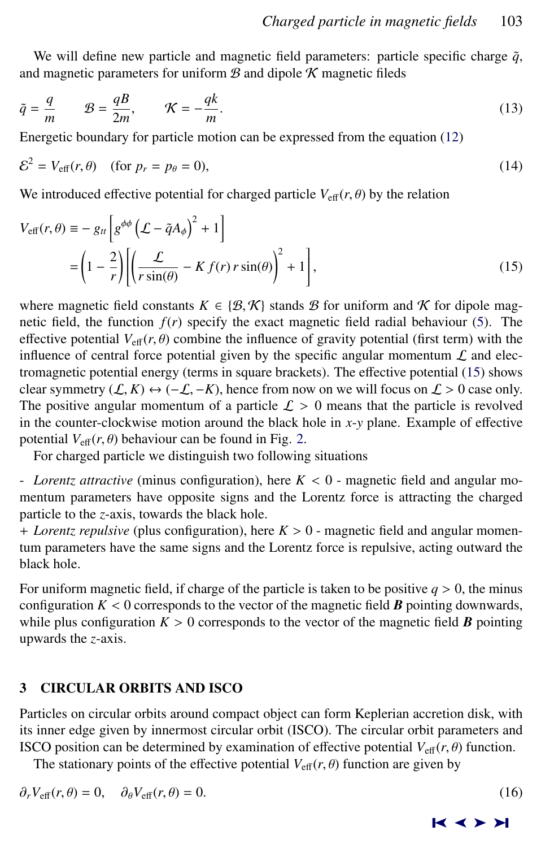<span id="page-4-0"></span>We will define new particle and magnetic field parameters: particle specific charge  $\tilde{q}$ , and magnetic parameters for uniform  $\mathcal B$  and dipole  $\mathcal K$  magnetic fileds

$$
\tilde{q} = \frac{q}{m} \qquad \mathcal{B} = \frac{qB}{2m}, \qquad \mathcal{K} = -\frac{qk}{m}.
$$
\n(13)

Energetic boundary for particle motion can be expressed from the equation [\(12\)](#page-3-0)

$$
\mathcal{E}^2 = V_{\text{eff}}(r,\theta) \quad \text{(for } p_r = p_\theta = 0),\tag{14}
$$

We introduced effective potential for charged particle  $V_{\text{eff}}(r, \theta)$  by the relation

$$
V_{\text{eff}}(r,\theta) \equiv -g_{tt} \left[ g^{\phi\phi} \left( \mathcal{L} - \tilde{q} A_{\phi} \right)^{2} + 1 \right]
$$
  
= 
$$
\left( 1 - \frac{2}{r} \right) \left[ \left( \frac{\mathcal{L}}{r \sin(\theta)} - K f(r) r \sin(\theta) \right)^{2} + 1 \right],
$$
 (15)

where magnetic field constants  $K \in \{B, K\}$  stands B for uniform and K for dipole magnetic field, the function  $f(r)$  specify the exact magnetic field radial behaviour [\(5\)](#page-2-0). The effective potential  $V_{\text{eff}}(r, \theta)$  combine the influence of gravity potential (first term) with the influence of central force potential given by the specific angular momentum  $\mathcal L$  and electromagnetic potential energy (terms in square brackets). The effective potential (15) shows clear symmetry  $(L, K) \leftrightarrow (-L, -K)$ , hence from now on we will focus on  $L > 0$  case only. The positive angular momentum of a particle  $\mathcal{L} > 0$  means that the particle is revolved in the counter-clockwise motion around the black hole in *x*-*y* plane. Example of effective potential  $V_{\text{eff}}(r, \theta)$  behaviour can be found in Fig. [2.](#page-3-0)

For charged particle we distinguish two following situations

- *Lorentz attractive* (minus configuration), here *<sup>K</sup>* < 0 - magnetic field and angular momentum parameters have opposite signs and the Lorentz force is attracting the charged particle to the *z*-axis, towards the black hole.

<sup>+</sup> *Lorentz repulsive* (plus configuration), here *<sup>K</sup>* > 0 - magnetic field and angular momentum parameters have the same signs and the Lorentz force is repulsive, acting outward the black hole.

For uniform magnetic field, if charge of the particle is taken to be positive  $q > 0$ , the minus configuration  $K < 0$  corresponds to the vector of the magnetic field  $\bm{B}$  pointing downwards, while plus configuration  $K > 0$  corresponds to the vector of the magnetic field **B** pointing upwards the *z*-axis.

# 3 CIRCULAR ORBITS AND ISCO

Particles on circular orbits around compact object can form Keplerian accretion disk, with its inner edge given by innermost circular orbit (ISCO). The circular orbit parameters and ISCO position can be determined by examination of effective potential  $V_{\text{eff}}(r, \theta)$  function.

The stationary points of the effective potential  $V_{\text{eff}}(r, \theta)$  function are given by

$$
\partial_r V_{\text{eff}}(r,\theta) = 0, \quad \partial_\theta V_{\text{eff}}(r,\theta) = 0.
$$
\n(16)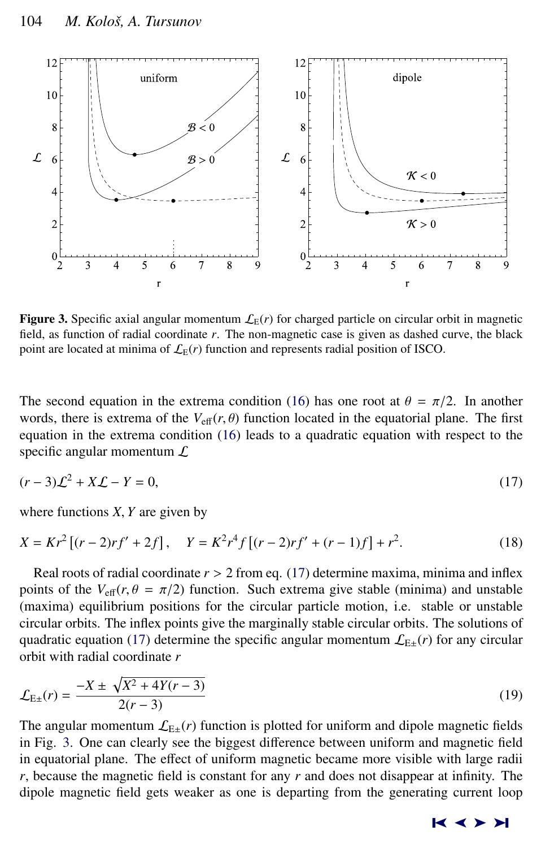<span id="page-5-0"></span>

**Figure 3.** Specific axial angular momentum  $\mathcal{L}_E(r)$  for charged particle on circular orbit in magnetic field, as function of radial coordinate *r*. The non-magnetic case is given as dashed curve, the black point are located at minima of  $\mathcal{L}_E(r)$  function and represents radial position of ISCO.

The second equation in the extrema condition [\(16\)](#page-4-0) has one root at  $\theta = \pi/2$ . In another words, there is extrema of the  $V_{\text{eff}}(r, \theta)$  function located in the equatorial plane. The first equation in the extrema condition [\(16\)](#page-4-0) leads to a quadratic equation with respect to the specific angular momentum  $\mathcal L$ 

$$
(r-3)\mathcal{L}^2 + X\mathcal{L} - Y = 0,\tag{17}
$$

where functions *<sup>X</sup>*, *<sup>Y</sup>* are given by

$$
X = Kr^{2}[(r-2)rf' + 2f], \quad Y = K^{2}r^{4}f[(r-2)rf' + (r-1)f] + r^{2}.
$$
 (18)

Real roots of radial coordinate  $r > 2$  from eq. (17) determine maxima, minima and inflex points of the  $V_{\text{eff}}(r, \theta = \pi/2)$  function. Such extrema give stable (minima) and unstable (maxima) equilibrium positions for the circular particle motion, i.e. stable or unstable circular orbits. The inflex points give the marginally stable circular orbits. The solutions of quadratic equation (17) determine the specific angular momentum  $\mathcal{L}_{E\pm}(r)$  for any circular orbit with radial coordinate *r*

$$
\mathcal{L}_{E\pm}(r) = \frac{-X \pm \sqrt{X^2 + 4Y(r - 3)}}{2(r - 3)}\tag{19}
$$

The angular momentum  $\mathcal{L}_{E\pm}(r)$  function is plotted for uniform and dipole magnetic fields in Fig. 3. One can clearly see the biggest difference between uniform and magnetic field in equatorial plane. The effect of uniform magnetic became more visible with large radii *r*, because the magnetic field is constant for any *r* and does not disappear at infinity. The dipole magnetic field gets weaker as one is departing from the generating current loop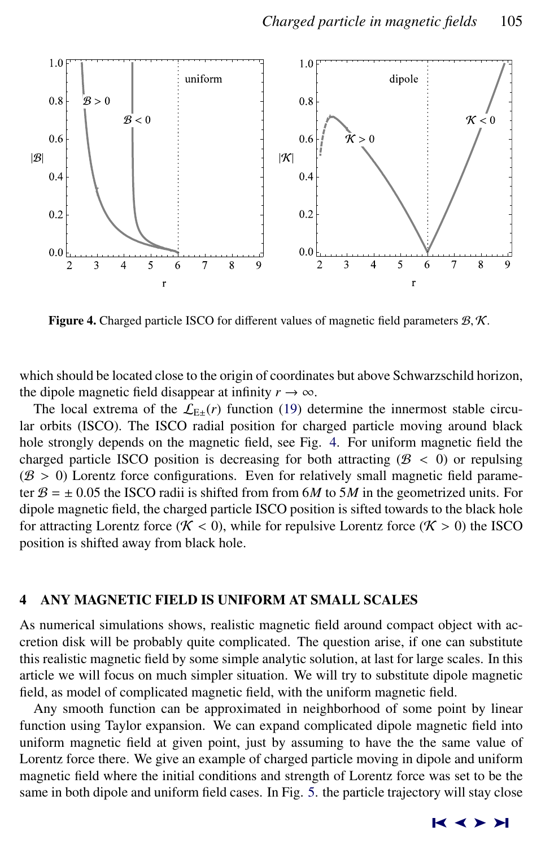

Figure 4. Charged particle ISCO for different values of magnetic field parameters  $\mathcal{B}, \mathcal{K}$ .

which should be located close to the origin of coordinates but above Schwarzschild horizon, the dipole magnetic field disappear at infinity  $r \to \infty$ .

The local extrema of the  $\mathcal{L}_{E\pm}(r)$  function [\(19\)](#page-5-0) determine the innermost stable circular orbits (ISCO). The ISCO radial position for charged particle moving around black hole strongly depends on the magnetic field, see Fig. 4. For uniform magnetic field the charged particle ISCO position is decreasing for both attracting  $(B < 0)$  or repulsing  $( B$  > 0) Lorentz force configurations. Even for relatively small magnetic field parameter  $B = \pm 0.05$  the ISCO radii is shifted from from 6*M* to 5*M* in the geometrized units. For dipole magnetic field, the charged particle ISCO position is sifted towards to the black hole for attracting Lorentz force ( $K < 0$ ), while for repulsive Lorentz force ( $K > 0$ ) the ISCO position is shifted away from black hole.

# 4 ANY MAGNETIC FIELD IS UNIFORM AT SMALL SCALES

As numerical simulations shows, realistic magnetic field around compact object with accretion disk will be probably quite complicated. The question arise, if one can substitute this realistic magnetic field by some simple analytic solution, at last for large scales. In this article we will focus on much simpler situation. We will try to substitute dipole magnetic field, as model of complicated magnetic field, with the uniform magnetic field.

Any smooth function can be approximated in neighborhood of some point by linear function using Taylor expansion. We can expand complicated dipole magnetic field into uniform magnetic field at given point, just by assuming to have the the same value of Lorentz force there. We give an example of charged particle moving in dipole and uniform magnetic field where the initial conditions and strength of Lorentz force was set to be the same in both dipole and uniform field cases. In Fig. [5.](#page-7-0) the particle trajectory will stay close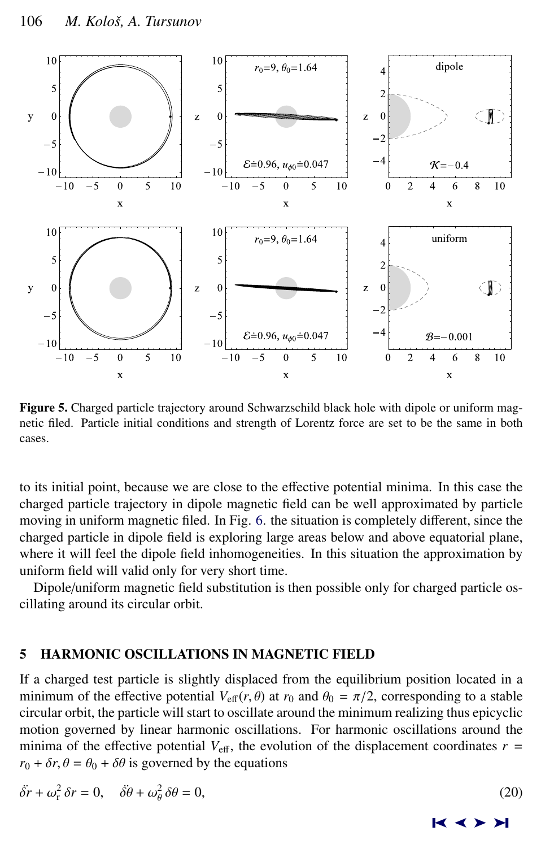<span id="page-7-0"></span>

Figure 5. Charged particle trajectory around Schwarzschild black hole with dipole or uniform magnetic filed. Particle initial conditions and strength of Lorentz force are set to be the same in both cases.

to its initial point, because we are close to the effective potential minima. In this case the charged particle trajectory in dipole magnetic field can be well approximated by particle moving in uniform magnetic filed. In Fig. [6.](#page-8-0) the situation is completely different, since the charged particle in dipole field is exploring large areas below and above equatorial plane, where it will feel the dipole field inhomogeneities. In this situation the approximation by uniform field will valid only for very short time.

Dipole/uniform magnetic field substitution is then possible only for charged particle oscillating around its circular orbit.

# 5 HARMONIC OSCILLATIONS IN MAGNETIC FIELD

If a charged test particle is slightly displaced from the equilibrium position located in a minimum of the effective potential  $V_{\text{eff}}(r, \theta)$  at  $r_0$  and  $\theta_0 = \pi/2$ , corresponding to a stable circular orbit, the particle will start to oscillate around the minimum realizing thus epicyclic motion governed by linear harmonic oscillations. For harmonic oscillations around the minima of the effective potential  $V_{\text{eff}}$ , the evolution of the displacement coordinates  $r =$  $r_0 + \delta r$ ,  $\theta = \theta_0 + \delta \theta$  is governed by the equations

$$
\ddot{\delta r} + \omega_r^2 \, \delta r = 0, \quad \ddot{\delta \theta} + \omega_\theta^2 \, \delta \theta = 0,\tag{20}
$$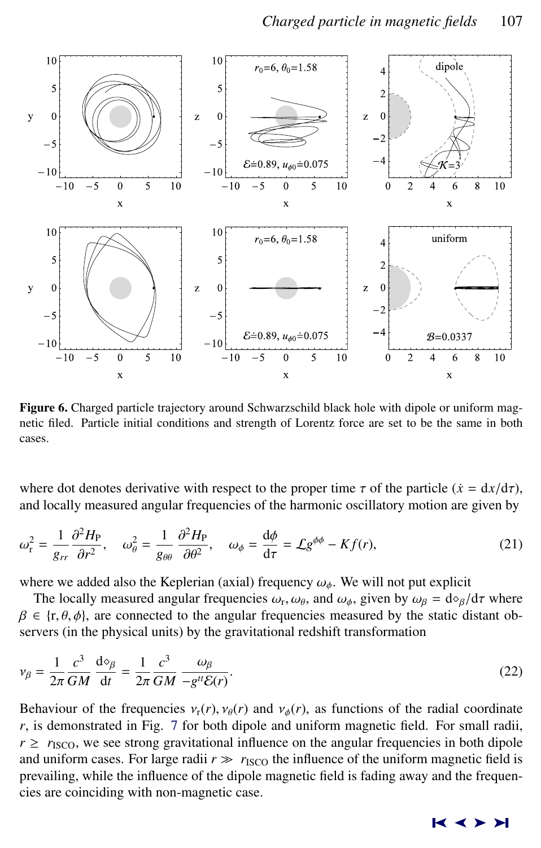<span id="page-8-0"></span>

Figure 6. Charged particle trajectory around Schwarzschild black hole with dipole or uniform magnetic filed. Particle initial conditions and strength of Lorentz force are set to be the same in both cases.

where dot denotes derivative with respect to the proper time  $\tau$  of the particle ( $\dot{x} = dx/d\tau$ ), and locally measured angular frequencies of the harmonic oscillatory motion are given by

$$
\omega_{\rm r}^2 = \frac{1}{g_{rr}} \frac{\partial^2 H_{\rm P}}{\partial r^2}, \quad \omega_{\theta}^2 = \frac{1}{g_{\theta\theta}} \frac{\partial^2 H_{\rm P}}{\partial \theta^2}, \quad \omega_{\phi} = \frac{\mathrm{d}\phi}{\mathrm{d}\tau} = \mathcal{L} g^{\phi\phi} - K f(r), \tag{21}
$$

where we added also the Keplerian (axial) frequency  $\omega_{\phi}$ . We will not put explicit

The locally measured angular frequencies  $\omega_r$ ,  $\omega_\theta$ , and  $\omega_\phi$ , given by  $\omega_\beta = d\phi_\beta/d\tau$  where  $\epsilon$  is a connected to the angular frequencies measured by the static distant ob- $\beta \in \{r, \theta, \phi\}$ , are connected to the angular frequencies measured by the static distant observers (in the physical units) by the gravitational redshift transformation

$$
\nu_{\beta} = \frac{1}{2\pi} \frac{c^3}{GM} \frac{d\mathcal{P}_{\beta}}{dt} = \frac{1}{2\pi} \frac{c^3}{GM} \frac{\omega_{\beta}}{-g^{tt}\mathcal{E}(r)}.
$$
\n(22)

Behaviour of the frequencies  $v_r(r)$ ,  $v_\theta(r)$  and  $v_\phi(r)$ , as functions of the radial coordinate *r*, is demonstrated in Fig. [7](#page-9-0) for both dipole and uniform magnetic field. For small radii,  $r \ge r_{\text{ISCO}}$ , we see strong gravitational influence on the angular frequencies in both dipole and uniform cases. For large radii  $r \gg r_{\text{ISCO}}$  the influence of the uniform magnetic field is prevailing, while the influence of the dipole magnetic field is fading away and the frequencies are coinciding with non-magnetic case.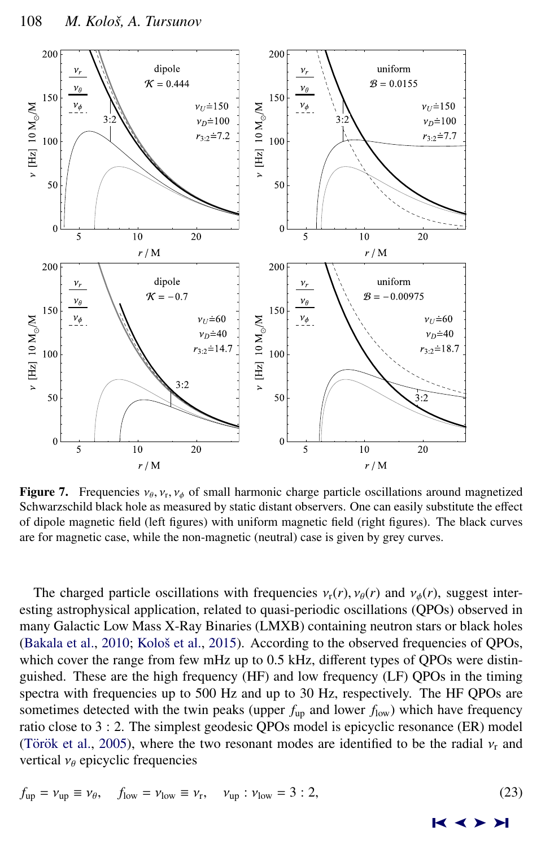<span id="page-9-0"></span>

**Figure 7.** Frequencies  $v_{\theta}$ ,  $v_{\tau}$ ,  $v_{\phi}$  of small harmonic charge particle oscillations around magnetized Schwarzschild black hole as measured by static distant observers. One can easily substitute the effect **Figure** 7. Frequencies  $v_{\theta}$ ,  $v_{\tau}$ ,  $v_{\phi}$  or small narmome enarge particle oscinations around magnetized Schwarzschild black hole as measured by static distant observers. One can easily substitute the effect of dipole magnetic field (left figures) with uniform magnetic field (right figures). The black curves are for magnetic case, while the non-magnetic (neutral) case is given by grey curves.

The charged particle oscillations with frequencies  $v_r(r)$ ,  $v_\theta(r)$  and  $v_\phi(r)$ , suggest interesting astrophysical application, related to quasi-periodic oscillations (QPOs) observed in many Galactic Low Mass X-Ray Binaries (LMXB) containing neutron stars or black holes [\(Bakala et al.,](#page-11-0)  $2010$ ; Kološ et al.,  $2015$ ). According to the observed frequencies of QPOs, which cover the range from few mHz up to 0.5 kHz, different types of QPOs were distinguished. These are the high frequency (HF) and low frequency (LF) QPOs in the timing spectra with frequencies up to 500 Hz and up to 30 Hz, respectively. The HF QPOs are sometimes detected with the twin peaks (upper  $f_{\text{up}}$  and lower  $f_{\text{low}}$ ) which have frequency ratio close to 3 : 2. The simplest geodesic QPOs model is epicyclic resonance (ER) model (Török et al., [2005\)](#page-11-0), where the two resonant modes are identified to be the radial  $v_r$  and vertical  $v_{\theta}$  epicyclic frequencies

$$
f_{\rm up} = \nu_{\rm up} \equiv \nu_{\theta}, \quad f_{\rm low} = \nu_{\rm low} \equiv \nu_{\rm r}, \quad \nu_{\rm up} : \nu_{\rm low} = 3 : 2,
$$
 (23)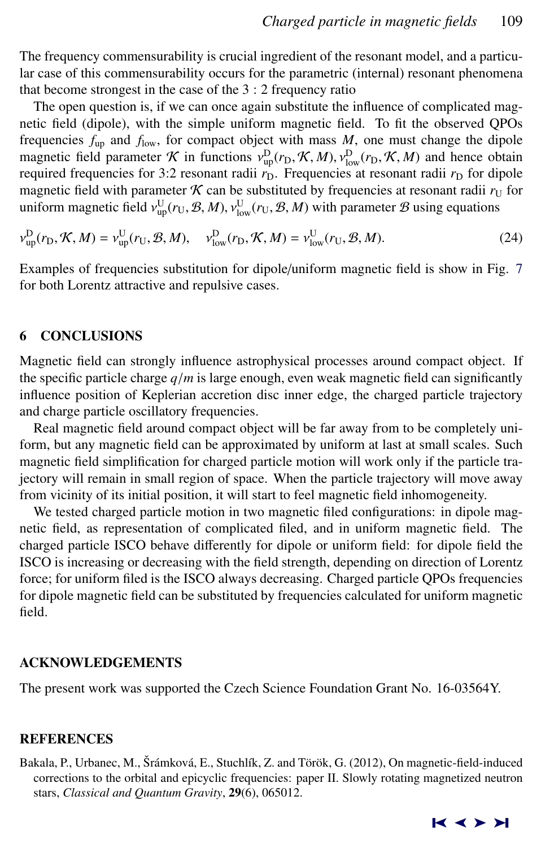<span id="page-10-0"></span>The frequency commensurability is crucial ingredient of the resonant model, and a particular case of this commensurability occurs for the parametric (internal) resonant phenomena that become strongest in the case of the 3 : 2 frequency ratio

The open question is, if we can once again substitute the influence of complicated magnetic field (dipole), with the simple uniform magnetic field. To fit the observed QPOs frequencies  $f_{\text{up}}$  and  $f_{\text{low}}$ , for compact object with mass *M*, one must change the dipole magnetic field parameter K in functions  $v_{\text{up}}^{\text{D}}(r_{\text{D}}, \mathcal{K}, M)$ ,  $v_{\text{low}}^{\text{D}}(r_{\text{D}}, \mathcal{K}, M)$  and hence obtain required frequencies for 3:2 resonant radii  $r<sub>D</sub>$ . Frequencies at resonant radii  $r<sub>D</sub>$  for dipole magnetic field with parameter  $K$  can be substituted by frequencies at resonant radii  $r_U$  for uniform magnetic field  $v_{\rm up}^{\rm U}(r_{\rm U}, \mathcal{B}, M)$ ,  $v_{\rm low}^{\rm U}(r_{\rm U}, \mathcal{B}, M)$  with parameter  $\mathcal B$  using equations

$$
\mathbf{v}_{\text{up}}^{\text{D}}(r_{\text{D}}, \mathcal{K}, M) = \mathbf{v}_{\text{up}}^{\text{U}}(r_{\text{U}}, \mathcal{B}, M), \quad \mathbf{v}_{\text{low}}^{\text{D}}(r_{\text{D}}, \mathcal{K}, M) = \mathbf{v}_{\text{low}}^{\text{U}}(r_{\text{U}}, \mathcal{B}, M). \tag{24}
$$

Examples of frequencies substitution for dipole/uniform magnetic field is show in Fig. [7](#page-9-0) for both Lorentz attractive and repulsive cases.

## 6 CONCLUSIONS

Magnetic field can strongly influence astrophysical processes around compact object. If the specific particle charge  $q/m$  is large enough, even weak magnetic field can significantly influence position of Keplerian accretion disc inner edge, the charged particle trajectory and charge particle oscillatory frequencies.

Real magnetic field around compact object will be far away from to be completely uniform, but any magnetic field can be approximated by uniform at last at small scales. Such magnetic field simplification for charged particle motion will work only if the particle trajectory will remain in small region of space. When the particle trajectory will move away from vicinity of its initial position, it will start to feel magnetic field inhomogeneity.

We tested charged particle motion in two magnetic filed configurations: in dipole magnetic field, as representation of complicated filed, and in uniform magnetic field. The charged particle ISCO behave differently for dipole or uniform field: for dipole field the ISCO is increasing or decreasing with the field strength, depending on direction of Lorentz force; for uniform filed is the ISCO always decreasing. Charged particle QPOs frequencies for dipole magnetic field can be substituted by frequencies calculated for uniform magnetic field.

#### ACKNOWLEDGEMENTS

The present work was supported the Czech Science Foundation Grant No. 16-03564Y.

# **REFERENCES**

Bakala, P., Urbanec, M., Šrámková, E., Stuchlík, Z. and Török, G. (2012), On magnetic-field-induced corrections to the orbital and epicyclic frequencies: paper II. Slowly rotating magnetized neutron stars, *Classical and Quantum Gravity*, 29(6), 065012.